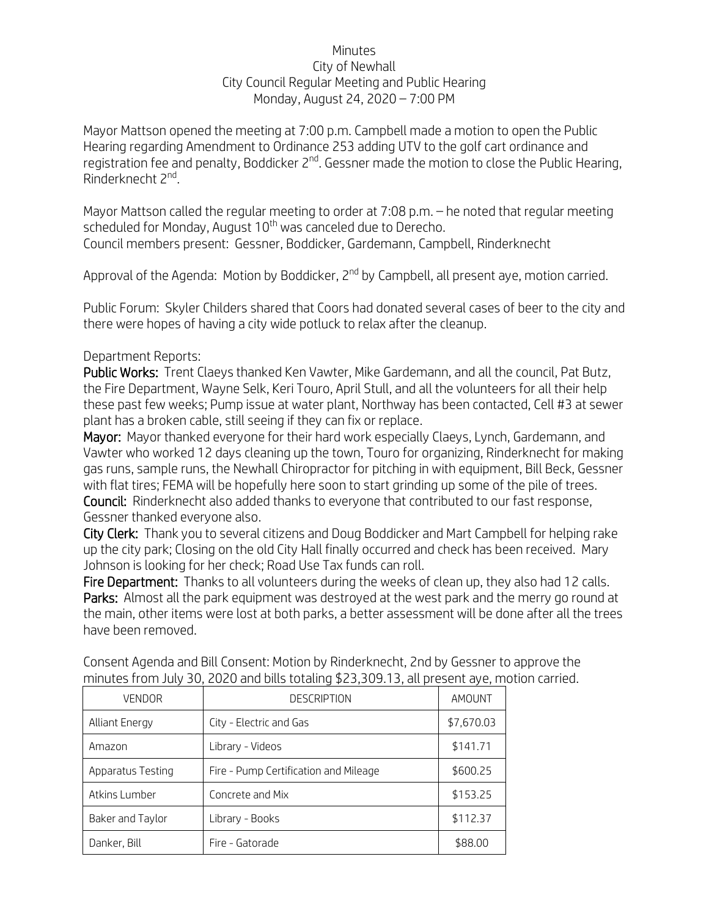## Minutes City of Newhall City Council Regular Meeting and Public Hearing Monday, August 24, 2020 – 7:00 PM

Mayor Mattson opened the meeting at 7:00 p.m. Campbell made a motion to open the Public Hearing regarding Amendment to Ordinance 253 adding UTV to the golf cart ordinance and registration fee and penalty, Boddicker  $2^{nd}$ . Gessner made the motion to close the Public Hearing, Rinderknecht 2nd.

Mayor Mattson called the regular meeting to order at 7:08 p.m. – he noted that regular meeting scheduled for Monday, August  $10<sup>th</sup>$  was canceled due to Derecho. Council members present: Gessner, Boddicker, Gardemann, Campbell, Rinderknecht

Approval of the Agenda: Motion by Boddicker, 2<sup>nd</sup> by Campbell, all present aye, motion carried.

Public Forum: Skyler Childers shared that Coors had donated several cases of beer to the city and there were hopes of having a city wide potluck to relax after the cleanup.

## Department Reports:

Public Works: Trent Claeys thanked Ken Vawter, Mike Gardemann, and all the council, Pat Butz, the Fire Department, Wayne Selk, Keri Touro, April Stull, and all the volunteers for all their help these past few weeks; Pump issue at water plant, Northway has been contacted, Cell #3 at sewer plant has a broken cable, still seeing if they can fix or replace.

Mayor: Mayor thanked everyone for their hard work especially Claeys, Lynch, Gardemann, and Vawter who worked 12 days cleaning up the town, Touro for organizing, Rinderknecht for making gas runs, sample runs, the Newhall Chiropractor for pitching in with equipment, Bill Beck, Gessner with flat tires; FEMA will be hopefully here soon to start grinding up some of the pile of trees. Council: Rinderknecht also added thanks to everyone that contributed to our fast response, Gessner thanked everyone also.

City Clerk: Thank you to several citizens and Doug Boddicker and Mart Campbell for helping rake up the city park; Closing on the old City Hall finally occurred and check has been received. Mary Johnson is looking for her check; Road Use Tax funds can roll.

Fire Department: Thanks to all volunteers during the weeks of clean up, they also had 12 calls. Parks: Almost all the park equipment was destroyed at the west park and the merry go round at the main, other items were lost at both parks, a better assessment will be done after all the trees have been removed.

| <b>VENDOR</b>     | <b>DESCRIPTION</b>                    | AMOUNT     |
|-------------------|---------------------------------------|------------|
| Alliant Energy    | City - Electric and Gas               | \$7,670.03 |
| Amazon            | Library - Videos                      | \$141.71   |
| Apparatus Testing | Fire - Pump Certification and Mileage | \$600.25   |
| Atkins Lumber     | Concrete and Mix                      | \$153.25   |
| Baker and Taylor  | Library - Books                       | \$112.37   |
| Danker, Bill      | Fire - Gatorade                       | \$88.00    |

Consent Agenda and Bill Consent: Motion by Rinderknecht, 2nd by Gessner to approve the minutes from July 30, 2020 and bills totaling \$23,309.13, all present aye, motion carried.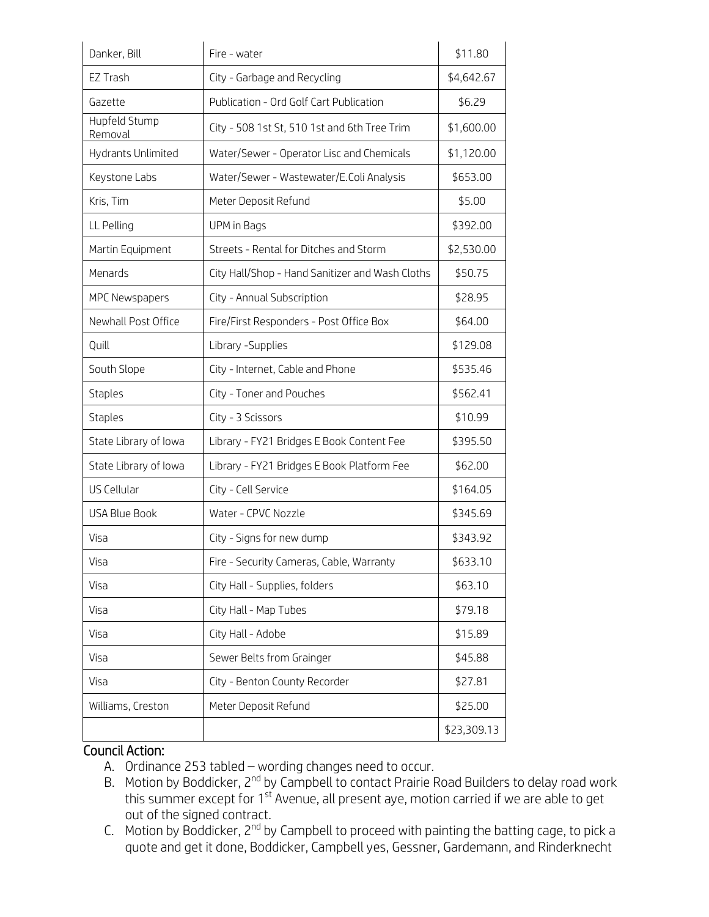| Danker, Bill             | Fire - water                                    | \$11.80     |
|--------------------------|-------------------------------------------------|-------------|
| EZ Trash                 | City - Garbage and Recycling                    | \$4,642.67  |
| Gazette                  | Publication - Ord Golf Cart Publication         | \$6.29      |
| Hupfeld Stump<br>Removal | City - 508 1st St, 510 1st and 6th Tree Trim    | \$1,600.00  |
| Hydrants Unlimited       | Water/Sewer - Operator Lisc and Chemicals       | \$1,120.00  |
| Keystone Labs            | Water/Sewer - Wastewater/E.Coli Analysis        | \$653.00    |
| Kris, Tim                | Meter Deposit Refund                            | \$5.00      |
| LL Pelling               | UPM in Bags                                     | \$392.00    |
| Martin Equipment         | Streets - Rental for Ditches and Storm          | \$2,530.00  |
| Menards                  | City Hall/Shop - Hand Sanitizer and Wash Cloths | \$50.75     |
| MPC Newspapers           | City - Annual Subscription                      | \$28.95     |
| Newhall Post Office      | Fire/First Responders - Post Office Box         | \$64.00     |
| Quill                    | Library - Supplies                              | \$129.08    |
| South Slope              | City - Internet, Cable and Phone                | \$535.46    |
| <b>Staples</b>           | City - Toner and Pouches                        | \$562.41    |
| <b>Staples</b>           | City - 3 Scissors                               | \$10.99     |
| State Library of Iowa    | Library - FY21 Bridges E Book Content Fee       | \$395.50    |
| State Library of Iowa    | Library - FY21 Bridges E Book Platform Fee      | \$62.00     |
| US Cellular              | City - Cell Service                             | \$164.05    |
| <b>USA Blue Book</b>     | Water - CPVC Nozzle                             | \$345.69    |
| Visa                     | City - Signs for new dump                       | \$343.92    |
| Visa                     | Fire - Security Cameras, Cable, Warranty        | \$633.10    |
| Visa                     | City Hall - Supplies, folders                   | \$63.10     |
| Visa                     | City Hall - Map Tubes                           | \$79.18     |
| Visa                     | City Hall - Adobe                               | \$15.89     |
| Visa                     | Sewer Belts from Grainger                       | \$45.88     |
| Visa                     | City - Benton County Recorder                   | \$27.81     |
| Williams, Creston        | Meter Deposit Refund                            | \$25.00     |
|                          |                                                 | \$23,309.13 |

## Council Action:

- A. Ordinance 253 tabled wording changes need to occur.
- B. Motion by Boddicker, 2<sup>nd</sup> by Campbell to contact Prairie Road Builders to delay road work this summer except for  $1^{st}$  Avenue, all present aye, motion carried if we are able to get out of the signed contract.
- C. Motion by Boddicker, 2nd by Campbell to proceed with painting the batting cage, to pick a quote and get it done, Boddicker, Campbell yes, Gessner, Gardemann, and Rinderknecht